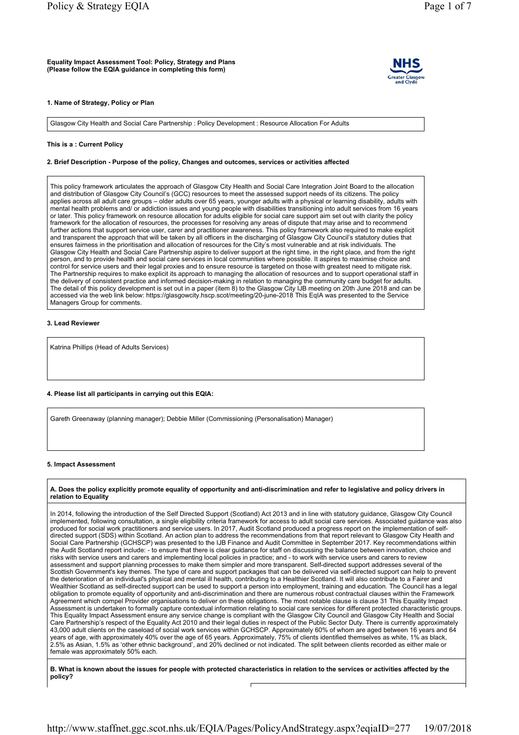

#### 1. Name of Strategy, Policy or Plan

Glasgow City Health and Social Care Partnership : Policy Development : Resource Allocation For Adults

## This is a : Current Policy

### 2. Brief Description - Purpose of the policy, Changes and outcomes, services or activities affected

This policy framework articulates the approach of Glasgow City Health and Social Care Integration Joint Board to the allocation and distribution of Glasgow City Council's (GCC) resources to meet the assessed support needs of its citizens. The policy applies across all adult care groups – older adults over 65 years, younger adults with a physical or learning disability, adults with mental health problems and/ or addiction issues and young people with disabilities transitioning into adult services from 16 years or later. This policy framework on resource allocation for adults eligible for social care support aim set out with clarity the policy framework for the allocation of resources, the processes for resolving any areas of dispute that may arise and to recommend further actions that support service user, carer and practitioner awareness. This policy framework also required to make explicit and transparent the approach that will be taken by all officers in the discharging of Glasgow City Council's statutory duties that ensures fairness in the prioritisation and allocation of resources for the City's most vulnerable and at risk individuals. The Glasgow City Health and Social Care Partnership aspire to deliver support at the right time, in the right place, and from the right person, and to provide health and social care services in local communities where possible. It aspires to maximise choice and control for service users and their legal proxies and to ensure resource is targeted on those with greatest need to mitigate risk. The Partnership requires to make explicit its approach to managing the allocation of resources and to support operational staff in the delivery of consistent practice and informed decision-making in relation to managing the community care budget for adults. The detail of this policy development is set out in a paper (item 8) to the Glasgow City IJB meeting on 20th June 2018 and can be accessed via the web link below: https://glasgowcity.hscp.scot/meeting/20-june-2018 This EqIA was presented to the Service Managers Group for comments.

### 3. Lead Reviewer

Katrina Phillips (Head of Adults Services)

# 4. Please list all participants in carrying out this EQIA:

Gareth Greenaway (planning manager); Debbie Miller (Commissioning (Personalisation) Manager)

#### 5. Impact Assessment

A. Does the policy explicitly promote equality of opportunity and anti-discrimination and refer to legislative and policy drivers in relation to Equality

In 2014, following the introduction of the Self Directed Support (Scotland) Act 2013 and in line with statutory guidance, Glasgow City Council implemented, following consultation, a single eligibility criteria framework for access to adult social care services. Associated guidance was also produced for social work practitioners and service users. In 2017, Audit Scotland produced a progress report on the implementation of selfdirected support (SDS) within Scotland. An action plan to address the recommendations from that report relevant to Glasgow City Health and Social Care Partnership (GCHSCP) was presented to the IJB Finance and Audit Committee in September 2017. Key recommendations within the Audit Scotland report include: - to ensure that there is clear guidance for staff on discussing the balance between innovation, choice and risks with service users and carers and implementing local policies in practice; and - to work with service users and carers to review assessment and support planning processes to make them simpler and more transparent. Self-directed support addresses several of the Scottish Government's key themes. The type of care and support packages that can be delivered via self-directed support can help to prevent the deterioration of an individual's physical and mental ill health, contributing to a Healthier Scotland. It will also contribute to a Fairer and Wealthier Scotland as self-directed support can be used to support a person into employment, training and education. The Council has a legal obligation to promote equality of opportunity and anti-discrimination and there are numerous robust contractual clauses within the Framework Agreement which compel Provider organisations to deliver on these obligations. The most notable clause is clause 31 This Equality Impact Assessment is undertaken to formally capture contextual information relating to social care services for different protected characteristic groups. This Equality Impact Assessment ensure any service change is compliant with the Glasgow City Council and Glasgow City Health and Social Care Partnership's respect of the Equality Act 2010 and their legal duties in respect of the Public Sector Duty. There is currently approximately 43,000 adult clients on the caseload of social work services within GCHSCP. Approximately 60% of whom are aged between 16 years and 64 years of age, with approximately 40% over the age of 65 years. Approximately, 75% of clients identified themselves as white, 1% as black, 2.5% as Asian, 1.5% as 'other ethnic background', and 20% declined or not indicated. The split between clients recorded as either male or female was approximately 50% each.

B. What is known about the issues for people with protected characteristics in relation to the services or activities affected by the policy?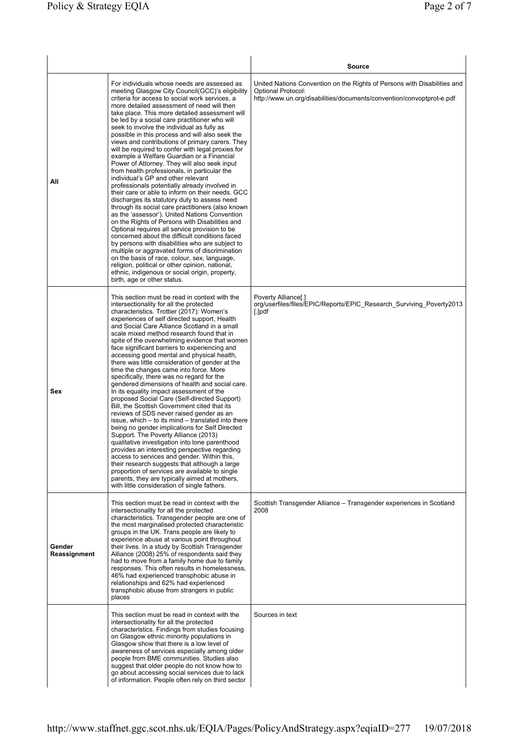|                        |                                                                                                                                                                                                                                                                                                                                                                                                                                                                                                                                                                                                                                                                                                                                                                                                                                                                                                                                                                                                                                                                                                                                                                                                                                                                                                                                                                                                        | <b>Source</b>                                                                                                                                                                  |
|------------------------|--------------------------------------------------------------------------------------------------------------------------------------------------------------------------------------------------------------------------------------------------------------------------------------------------------------------------------------------------------------------------------------------------------------------------------------------------------------------------------------------------------------------------------------------------------------------------------------------------------------------------------------------------------------------------------------------------------------------------------------------------------------------------------------------------------------------------------------------------------------------------------------------------------------------------------------------------------------------------------------------------------------------------------------------------------------------------------------------------------------------------------------------------------------------------------------------------------------------------------------------------------------------------------------------------------------------------------------------------------------------------------------------------------|--------------------------------------------------------------------------------------------------------------------------------------------------------------------------------|
| All                    | For individuals whose needs are assessed as<br>meeting Glasgow City Council(GCC)'s eligibility<br>criteria for access to social work services, a<br>more detailed assessment of need will then<br>take place. This more detailed assessment will<br>be led by a social care practitioner who will<br>seek to involve the individual as fully as<br>possible in this process and will also seek the<br>views and contributions of primary carers. They<br>will be required to confer with legal proxies for<br>example a Welfare Guardian or a Financial<br>Power of Attorney. They will also seek input<br>from health professionals, in particular the<br>individual's GP and other relevant<br>professionals potentially already involved in<br>their care or able to inform on their needs. GCC<br>discharges its statutory duty to assess need<br>through its social care practitioners (also known<br>as the 'assessor'). United Nations Convention<br>on the Rights of Persons with Disabilities and<br>Optional requires all service provision to be<br>concerned about the difficult conditions faced<br>by persons with disabilities who are subject to<br>multiple or aggravated forms of discrimination<br>on the basis of race, colour, sex, language,<br>religion, political or other opinion, national,<br>ethnic, indigenous or social origin, property,<br>birth, age or other status. | United Nations Convention on the Rights of Persons with Disabilities and<br><b>Optional Protocol:</b><br>http://www.un.org/disabilities/documents/convention/convoptprot-e.pdf |
| Sex                    | This section must be read in context with the<br>intersectionality for all the protected<br>characteristics. Trottier (2017): Women's<br>experiences of self directed support, Health<br>and Social Care Alliance Scotland in a small<br>scale mixed method research found that in<br>spite of the overwhelming evidence that women<br>face significant barriers to experiencing and<br>accessing good mental and physical health,<br>there was little consideration of gender at the<br>time the changes came into force. More<br>specifically, there was no regard for the<br>gendered dimensions of health and social care.<br>In its equality impact assessment of the<br>proposed Social Care (Self-directed Support)<br>Bill, the Scottish Government cited that its<br>reviews of SDS never raised gender as an<br>issue, which – to its mind – translated into there<br>being no gender implications for Self Directed<br>Support. The Poverty Alliance (2013)<br>qualitative investigation into lone parenthood<br>provides an interesting perspective regarding<br>access to services and gender. Within this,<br>their research suggests that although a large<br>proportion of services are available to single<br>parents, they are typically aimed at mothers,<br>with little consideration of single fathers.                                                                           | Poverty Alliance[.]<br>org/userfiles/files/EPIC/Reports/EPIC Research Surviving Poverty2013<br>$[.]$ pdf                                                                       |
| Gender<br>Reassignment | This section must be read in context with the<br>intersectionality for all the protected<br>characteristics. Transgender people are one of<br>the most marginalised protected characteristic<br>groups in the UK. Trans people are likely to<br>experience abuse at various point throughout<br>their lives. In a study by Scottish Transgender<br>Alliance (2008) 25% of respondents said they<br>had to move from a family home due to family<br>responses. This often results in homelessness,<br>46% had experienced transphobic abuse in<br>relationships and 62% had experienced<br>transphobic abuse from strangers in public<br>places                                                                                                                                                                                                                                                                                                                                                                                                                                                                                                                                                                                                                                                                                                                                                         | Scottish Transgender Alliance – Transgender experiences in Scotland<br>2008                                                                                                    |
|                        | This section must be read in context with the<br>intersectionality for all the protected<br>characteristics. Findings from studies focusing<br>on Glasgow ethnic minority populations in<br>Glasgow show that there is a low level of<br>awareness of services especially among older<br>people from BME communities. Studies also<br>suggest that older people do not know how to<br>go about accessing social services due to lack<br>of information. People often rely on third sector                                                                                                                                                                                                                                                                                                                                                                                                                                                                                                                                                                                                                                                                                                                                                                                                                                                                                                              | Sources in text                                                                                                                                                                |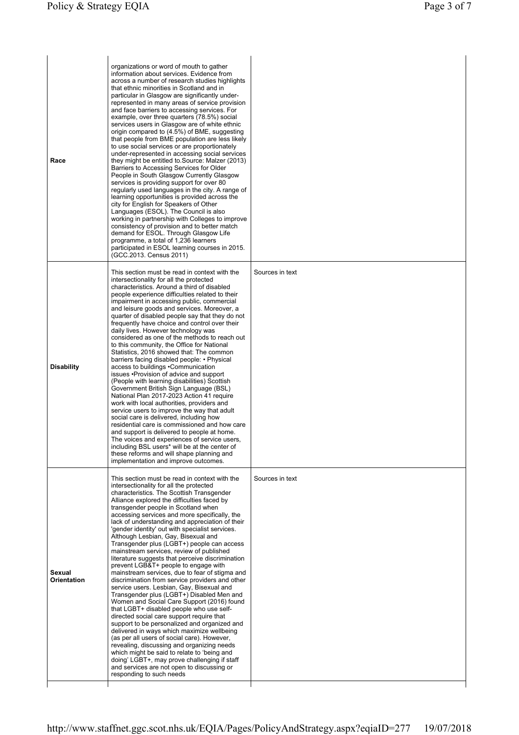| Race                         | organizations or word of mouth to gather<br>information about services. Evidence from<br>across a number of research studies highlights<br>that ethnic minorities in Scotland and in<br>particular in Glasgow are significantly under-<br>represented in many areas of service provision<br>and face barriers to accessing services. For<br>example, over three quarters (78.5%) social<br>services users in Glasgow are of white ethnic<br>origin compared to (4.5%) of BME, suggesting<br>that people from BME population are less likely<br>to use social services or are proportionately<br>under-represented in accessing social services<br>they might be entitled to Source: Malzer (2013)<br>Barriers to Accessing Services for Older<br>People in South Glasgow Currently Glasgow<br>services is providing support for over 80<br>regularly used languages in the city. A range of<br>learning opportunities is provided across the<br>city for English for Speakers of Other<br>Languages (ESOL). The Council is also<br>working in partnership with Colleges to improve<br>consistency of provision and to better match<br>demand for ESOL. Through Glasgow Life<br>programme, a total of 1,236 learners<br>participated in ESOL learning courses in 2015.<br>(GCC.2013. Census 2011)                          |                 |
|------------------------------|---------------------------------------------------------------------------------------------------------------------------------------------------------------------------------------------------------------------------------------------------------------------------------------------------------------------------------------------------------------------------------------------------------------------------------------------------------------------------------------------------------------------------------------------------------------------------------------------------------------------------------------------------------------------------------------------------------------------------------------------------------------------------------------------------------------------------------------------------------------------------------------------------------------------------------------------------------------------------------------------------------------------------------------------------------------------------------------------------------------------------------------------------------------------------------------------------------------------------------------------------------------------------------------------------------------------------|-----------------|
| <b>Disability</b>            | This section must be read in context with the<br>intersectionality for all the protected<br>characteristics. Around a third of disabled<br>people experience difficulties related to their<br>impairment in accessing public, commercial<br>and leisure goods and services. Moreover, a<br>quarter of disabled people say that they do not<br>frequently have choice and control over their<br>daily lives. However technology was<br>considered as one of the methods to reach out<br>to this community, the Office for National<br>Statistics, 2016 showed that: The common<br>barriers facing disabled people: • Physical<br>access to buildings .Communication<br>issues • Provision of advice and support<br>(People with learning disabilities) Scottish<br>Government British Sign Language (BSL)<br>National Plan 2017-2023 Action 41 require<br>work with local authorities, providers and<br>service users to improve the way that adult<br>social care is delivered, including how<br>residential care is commissioned and how care<br>and support is delivered to people at home.<br>The voices and experiences of service users,<br>including BSL users* will be at the center of<br>these reforms and will shape planning and<br>implementation and improve outcomes.                                       | Sources in text |
| Sexual<br><b>Orientation</b> | This section must be read in context with the<br>intersectionality for all the protected<br>characteristics. The Scottish Transgender<br>Alliance explored the difficulties faced by<br>transgender people in Scotland when<br>accessing services and more specifically, the<br>lack of understanding and appreciation of their<br>'gender identity' out with specialist services.<br>Although Lesbian, Gay, Bisexual and<br>Transgender plus (LGBT+) people can access<br>mainstream services, review of published<br>literature suggests that perceive discrimination<br>prevent LGB&T+ people to engage with<br>mainstream services, due to fear of stigma and<br>discrimination from service providers and other<br>service users. Lesbian, Gay, Bisexual and<br>Transgender plus (LGBT+) Disabled Men and<br>Women and Social Care Support (2016) found<br>that LGBT+ disabled people who use self-<br>directed social care support require that<br>support to be personalized and organized and<br>delivered in ways which maximize wellbeing<br>(as per all users of social care). However,<br>revealing, discussing and organizing needs<br>which might be said to relate to 'being and<br>doing' LGBT+, may prove challenging if staff<br>and services are not open to discussing or<br>responding to such needs | Sources in text |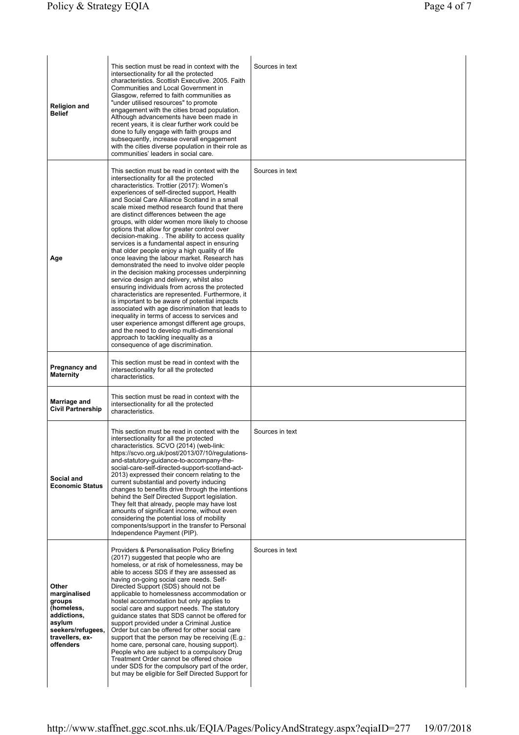| <b>Religion and</b><br><b>Belief</b>                                                                                        | This section must be read in context with the<br>intersectionality for all the protected<br>characteristics. Scottish Executive. 2005. Faith<br>Communities and Local Government in<br>Glasgow, referred to faith communities as<br>"under utilised resources" to promote<br>engagement with the cities broad population.<br>Although advancements have been made in<br>recent years, it is clear further work could be<br>done to fully engage with faith groups and<br>subsequently, increase overall engagement<br>with the cities diverse population in their role as<br>communities' leaders in social care.                                                                                                                                                                                                                                                                                                                                                                                                                                                                                                                                                                                                              | Sources in text |
|-----------------------------------------------------------------------------------------------------------------------------|--------------------------------------------------------------------------------------------------------------------------------------------------------------------------------------------------------------------------------------------------------------------------------------------------------------------------------------------------------------------------------------------------------------------------------------------------------------------------------------------------------------------------------------------------------------------------------------------------------------------------------------------------------------------------------------------------------------------------------------------------------------------------------------------------------------------------------------------------------------------------------------------------------------------------------------------------------------------------------------------------------------------------------------------------------------------------------------------------------------------------------------------------------------------------------------------------------------------------------|-----------------|
| Age                                                                                                                         | This section must be read in context with the<br>intersectionality for all the protected<br>characteristics. Trottier (2017): Women's<br>experiences of self-directed support, Health<br>and Social Care Alliance Scotland in a small<br>scale mixed method research found that there<br>are distinct differences between the age<br>groups, with older women more likely to choose<br>options that allow for greater control over<br>decision-making. . The ability to access quality<br>services is a fundamental aspect in ensuring<br>that older people enjoy a high quality of life<br>once leaving the labour market. Research has<br>demonstrated the need to involve older people<br>in the decision making processes underpinning<br>service design and delivery, whilst also<br>ensuring individuals from across the protected<br>characteristics are represented. Furthermore, it<br>is important to be aware of potential impacts<br>associated with age discrimination that leads to<br>inequality in terms of access to services and<br>user experience amongst different age groups,<br>and the need to develop multi-dimensional<br>approach to tackling inequality as a<br>consequence of age discrimination. | Sources in text |
| Pregnancy and<br><b>Maternity</b>                                                                                           | This section must be read in context with the<br>intersectionality for all the protected<br>characteristics.                                                                                                                                                                                                                                                                                                                                                                                                                                                                                                                                                                                                                                                                                                                                                                                                                                                                                                                                                                                                                                                                                                                   |                 |
| Marriage and<br><b>Civil Partnership</b>                                                                                    | This section must be read in context with the<br>intersectionality for all the protected<br>characteristics.                                                                                                                                                                                                                                                                                                                                                                                                                                                                                                                                                                                                                                                                                                                                                                                                                                                                                                                                                                                                                                                                                                                   |                 |
| Social and<br><b>Economic Status</b>                                                                                        | This section must be read in context with the<br>intersectionality for all the protected<br>characteristics. SCVO (2014) (web-link:<br>https://scvo.org.uk/post/2013/07/10/regulations-<br>and-statutory-guidance-to-accompany-the-<br>social-care-self-directed-support-scotland-act-<br>2013) expressed their concern relating to the<br>current substantial and poverty inducing<br>changes to benefits drive through the intentions<br>behind the Self Directed Support legislation.<br>They felt that already, people may have lost<br>amounts of significant income, without even<br>considering the potential loss of mobility<br>components/support in the transfer to Personal<br>Independence Payment (PIP).                                                                                                                                                                                                                                                                                                                                                                                                                                                                                                         | Sources in text |
| Other<br>marginalised<br>groups<br>(homeless,<br>addictions,<br>asylum<br>seekers/refugees,<br>travellers, ex-<br>offenders | Providers & Personalisation Policy Briefing<br>(2017) suggested that people who are<br>homeless, or at risk of homelessness, may be<br>able to access SDS if they are assessed as<br>having on-going social care needs. Self-<br>Directed Support (SDS) should not be<br>applicable to homelessness accommodation or<br>hostel accommodation but only applies to<br>social care and support needs. The statutory<br>guidance states that SDS cannot be offered for<br>support provided under a Criminal Justice<br>Order but can be offered for other social care<br>support that the person may be receiving (E.g.:<br>home care, personal care, housing support).<br>People who are subject to a compulsory Drug<br>Treatment Order cannot be offered choice<br>under SDS for the compulsory part of the order,<br>but may be eligible for Self Directed Support for                                                                                                                                                                                                                                                                                                                                                         | Sources in text |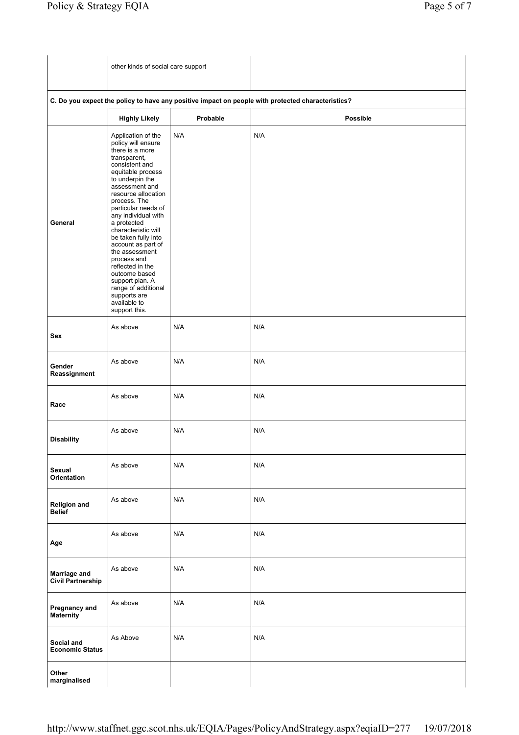| other kinds of social care support |
|------------------------------------|
|                                    |

|                                                 | <b>Highly Likely</b>                                                                                                                                                                                                                                                                                                                                                                                                                                                                             | Probable | <b>Possible</b> |
|-------------------------------------------------|--------------------------------------------------------------------------------------------------------------------------------------------------------------------------------------------------------------------------------------------------------------------------------------------------------------------------------------------------------------------------------------------------------------------------------------------------------------------------------------------------|----------|-----------------|
| General                                         | Application of the<br>policy will ensure<br>there is a more<br>transparent,<br>consistent and<br>equitable process<br>to underpin the<br>assessment and<br>resource allocation<br>process. The<br>particular needs of<br>any individual with<br>a protected<br>characteristic will<br>be taken fully into<br>account as part of<br>the assessment<br>process and<br>reflected in the<br>outcome based<br>support plan. A<br>range of additional<br>supports are<br>available to<br>support this. | N/A      | N/A             |
| Sex                                             | As above                                                                                                                                                                                                                                                                                                                                                                                                                                                                                         | N/A      | N/A             |
| Gender<br>Reassignment                          | As above                                                                                                                                                                                                                                                                                                                                                                                                                                                                                         | N/A      | N/A             |
| Race                                            | As above                                                                                                                                                                                                                                                                                                                                                                                                                                                                                         | N/A      | N/A             |
| <b>Disability</b>                               | As above                                                                                                                                                                                                                                                                                                                                                                                                                                                                                         | N/A      | N/A             |
| Sexual<br>Orientation                           | As above                                                                                                                                                                                                                                                                                                                                                                                                                                                                                         | N/A      | N/A             |
| <b>Religion and</b><br><b>Belief</b>            | As above                                                                                                                                                                                                                                                                                                                                                                                                                                                                                         | N/A      | N/A             |
| Age                                             | As above                                                                                                                                                                                                                                                                                                                                                                                                                                                                                         | N/A      | N/A             |
| <b>Marriage and</b><br><b>Civil Partnership</b> | As above                                                                                                                                                                                                                                                                                                                                                                                                                                                                                         | N/A      | N/A             |
| Pregnancy and<br><b>Maternity</b>               | As above                                                                                                                                                                                                                                                                                                                                                                                                                                                                                         | N/A      | N/A             |
| Social and<br><b>Economic Status</b>            | As Above                                                                                                                                                                                                                                                                                                                                                                                                                                                                                         | N/A      | N/A             |
| Other<br>marginalised                           |                                                                                                                                                                                                                                                                                                                                                                                                                                                                                                  |          |                 |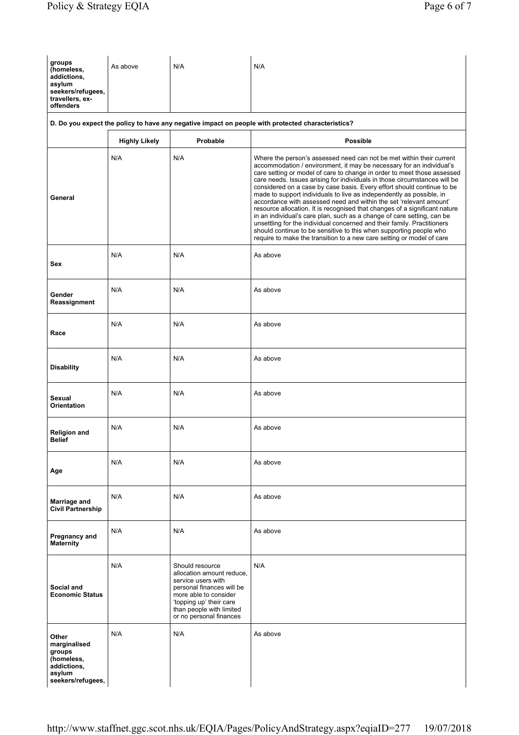| groups<br>(homeless,<br>addictions,<br>asylum<br>seekers/refugees,<br>travellers, ex-<br>offenders | As above             | N/A                                                                                                                                                                                                        | N/A                                                                                                                                                                                                                                                                                                                                                                                                                                                                                                                                                                                                                                                                                                                                                                                                                                                                                                            |
|----------------------------------------------------------------------------------------------------|----------------------|------------------------------------------------------------------------------------------------------------------------------------------------------------------------------------------------------------|----------------------------------------------------------------------------------------------------------------------------------------------------------------------------------------------------------------------------------------------------------------------------------------------------------------------------------------------------------------------------------------------------------------------------------------------------------------------------------------------------------------------------------------------------------------------------------------------------------------------------------------------------------------------------------------------------------------------------------------------------------------------------------------------------------------------------------------------------------------------------------------------------------------|
|                                                                                                    |                      |                                                                                                                                                                                                            | D. Do you expect the policy to have any negative impact on people with protected characteristics?                                                                                                                                                                                                                                                                                                                                                                                                                                                                                                                                                                                                                                                                                                                                                                                                              |
|                                                                                                    | <b>Highly Likely</b> | Probable                                                                                                                                                                                                   | <b>Possible</b>                                                                                                                                                                                                                                                                                                                                                                                                                                                                                                                                                                                                                                                                                                                                                                                                                                                                                                |
| General                                                                                            | N/A                  | N/A                                                                                                                                                                                                        | Where the person's assessed need can not be met within their current<br>accommodation / environment, it may be necessary for an individual's<br>care setting or model of care to change in order to meet those assessed<br>care needs. Issues arising for individuals in those circumstances will be<br>considered on a case by case basis. Every effort should continue to be<br>made to support individuals to live as independently as possible, in<br>accordance with assessed need and within the set 'relevant amount'<br>resource allocation. It is recognised that changes of a significant nature<br>in an individual's care plan, such as a change of care setting, can be<br>unsettling for the individual concerned and their family. Practitioners<br>should continue to be sensitive to this when supporting people who<br>require to make the transition to a new care setting or model of care |
| Sex                                                                                                | N/A                  | N/A                                                                                                                                                                                                        | As above                                                                                                                                                                                                                                                                                                                                                                                                                                                                                                                                                                                                                                                                                                                                                                                                                                                                                                       |
| Gender<br>Reassignment                                                                             | N/A                  | N/A                                                                                                                                                                                                        | As above                                                                                                                                                                                                                                                                                                                                                                                                                                                                                                                                                                                                                                                                                                                                                                                                                                                                                                       |
| Race                                                                                               | N/A                  | N/A                                                                                                                                                                                                        | As above                                                                                                                                                                                                                                                                                                                                                                                                                                                                                                                                                                                                                                                                                                                                                                                                                                                                                                       |
| <b>Disability</b>                                                                                  | N/A                  | N/A                                                                                                                                                                                                        | As above                                                                                                                                                                                                                                                                                                                                                                                                                                                                                                                                                                                                                                                                                                                                                                                                                                                                                                       |
| Sexual<br>Orientation                                                                              | N/A                  | N/A                                                                                                                                                                                                        | As above                                                                                                                                                                                                                                                                                                                                                                                                                                                                                                                                                                                                                                                                                                                                                                                                                                                                                                       |
| <b>Religion and</b><br><b>Belief</b>                                                               | N/A                  | N/A                                                                                                                                                                                                        | As above                                                                                                                                                                                                                                                                                                                                                                                                                                                                                                                                                                                                                                                                                                                                                                                                                                                                                                       |
| Age                                                                                                | N/A                  | N/A                                                                                                                                                                                                        | As above                                                                                                                                                                                                                                                                                                                                                                                                                                                                                                                                                                                                                                                                                                                                                                                                                                                                                                       |
| Marriage and<br><b>Civil Partnership</b>                                                           | N/A                  | N/A                                                                                                                                                                                                        | As above                                                                                                                                                                                                                                                                                                                                                                                                                                                                                                                                                                                                                                                                                                                                                                                                                                                                                                       |
| Pregnancy and<br><b>Maternity</b>                                                                  | N/A                  | N/A                                                                                                                                                                                                        | As above                                                                                                                                                                                                                                                                                                                                                                                                                                                                                                                                                                                                                                                                                                                                                                                                                                                                                                       |
| Social and<br><b>Economic Status</b>                                                               | N/A                  | Should resource<br>allocation amount reduce,<br>service users with<br>personal finances will be<br>more able to consider<br>'topping up' their care<br>than people with limited<br>or no personal finances | N/A                                                                                                                                                                                                                                                                                                                                                                                                                                                                                                                                                                                                                                                                                                                                                                                                                                                                                                            |
| Other<br>marginalised<br>groups<br>(homeless,<br>addictions,<br>asylum<br>seekers/refugees,        | N/A                  | N/A                                                                                                                                                                                                        | As above                                                                                                                                                                                                                                                                                                                                                                                                                                                                                                                                                                                                                                                                                                                                                                                                                                                                                                       |